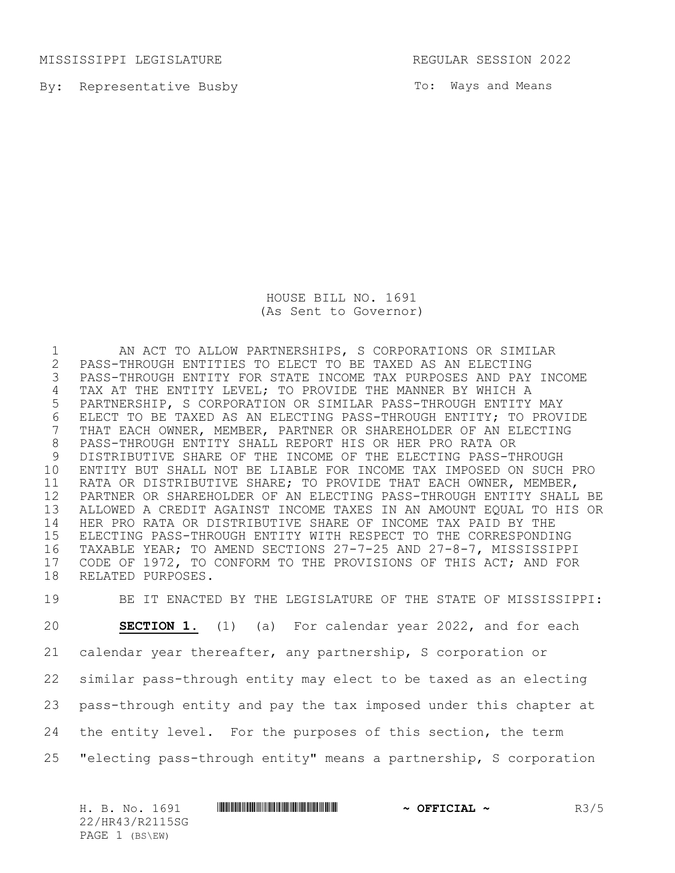MISSISSIPPI LEGISLATURE REGULAR SESSION 2022

By: Representative Busby

To: Ways and Means

HOUSE BILL NO. 1691 (As Sent to Governor)

1 AN ACT TO ALLOW PARTNERSHIPS, S CORPORATIONS OR SIMILAR<br>2 PASS-THROUGH ENTITIES TO ELECT TO BE TAXED AS AN ELECTING PASS-THROUGH ENTITIES TO ELECT TO BE TAXED AS AN ELECTING PASS-THROUGH ENTITY FOR STATE INCOME TAX PURPOSES AND PAY INCOME TAX AT THE ENTITY LEVEL; TO PROVIDE THE MANNER BY WHICH A PARTNERSHIP, S CORPORATION OR SIMILAR PASS-THROUGH ENTITY MAY 6 ELECT TO BE TAXED AS AN ELECTING PASS-THROUGH ENTITY; TO PROVIDE<br>7 THAT EACH OWNER, MEMBER, PARTNER OR SHAREHOLDER OF AN ELECTING THAT EACH OWNER, MEMBER, PARTNER OR SHAREHOLDER OF AN ELECTING PASS-THROUGH ENTITY SHALL REPORT HIS OR HER PRO RATA OR DISTRIBUTIVE SHARE OF THE INCOME OF THE ELECTING PASS-THROUGH ENTITY BUT SHALL NOT BE LIABLE FOR INCOME TAX IMPOSED ON SUCH PRO RATA OR DISTRIBUTIVE SHARE; TO PROVIDE THAT EACH OWNER, MEMBER, PARTNER OR SHAREHOLDER OF AN ELECTING PASS-THROUGH ENTITY SHALL BE ALLOWED A CREDIT AGAINST INCOME TAXES IN AN AMOUNT EQUAL TO HIS OR HER PRO RATA OR DISTRIBUTIVE SHARE OF INCOME TAX PAID BY THE ELECTING PASS-THROUGH ENTITY WITH RESPECT TO THE CORRESPONDING TAXABLE YEAR; TO AMEND SECTIONS 27-7-25 AND 27-8-7, MISSISSIPPI CODE OF 1972, TO CONFORM TO THE PROVISIONS OF THIS ACT; AND FOR RELATED PURPOSES.

 BE IT ENACTED BY THE LEGISLATURE OF THE STATE OF MISSISSIPPI: **SECTION 1.** (1) (a) For calendar year 2022, and for each calendar year thereafter, any partnership, S corporation or similar pass-through entity may elect to be taxed as an electing pass-through entity and pay the tax imposed under this chapter at the entity level. For the purposes of this section, the term "electing pass-through entity" means a partnership, S corporation

H. B. No. 1691 **\*\*\* AND \*\*\* THE \*\*\* THE \*\*\* THE \*\*\* THE \*\*\* THE \*\*\* THE \*\*\* THE \*\*\* THE \*\*\* THE \*\*\* THE \*\*\* THE \*\*\* THE \*\*\* THE \*\*\* THE \*\*\* THE \*\*\* THE \*\*\* THE \*\*\* THE \*\*\* THE \*\*\* THE \*\*\* THE \*\*\* THE \*\*\* THE \*\*\* THE \*\*\* TH** 22/HR43/R2115SG PAGE 1 (BS\EW)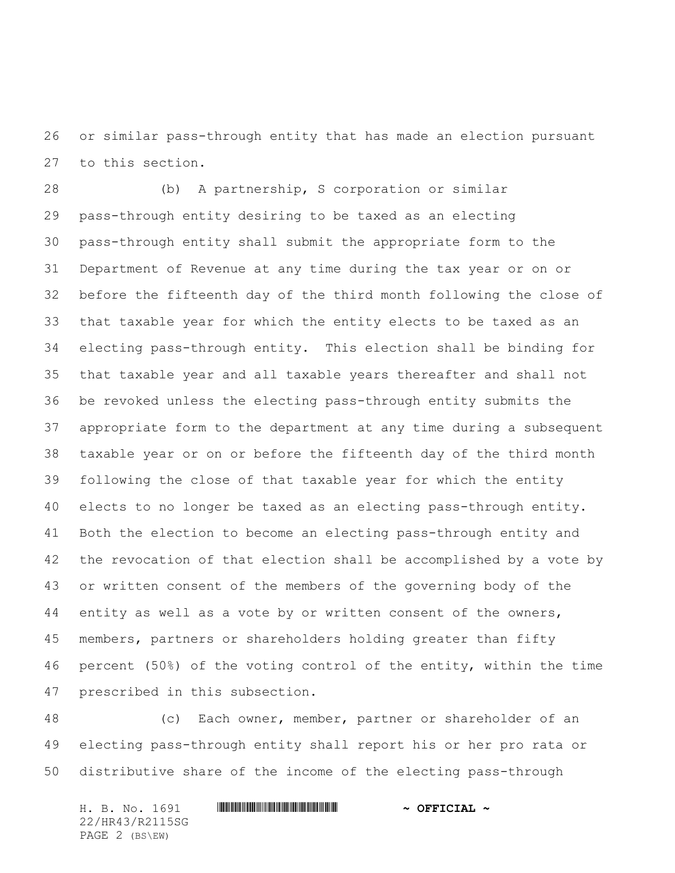or similar pass-through entity that has made an election pursuant to this section.

 (b) A partnership, S corporation or similar pass-through entity desiring to be taxed as an electing pass-through entity shall submit the appropriate form to the Department of Revenue at any time during the tax year or on or before the fifteenth day of the third month following the close of that taxable year for which the entity elects to be taxed as an electing pass-through entity. This election shall be binding for that taxable year and all taxable years thereafter and shall not be revoked unless the electing pass-through entity submits the appropriate form to the department at any time during a subsequent taxable year or on or before the fifteenth day of the third month following the close of that taxable year for which the entity elects to no longer be taxed as an electing pass-through entity. Both the election to become an electing pass-through entity and the revocation of that election shall be accomplished by a vote by or written consent of the members of the governing body of the 44 entity as well as a vote by or written consent of the owners, members, partners or shareholders holding greater than fifty percent (50%) of the voting control of the entity, within the time prescribed in this subsection.

 (c) Each owner, member, partner or shareholder of an electing pass-through entity shall report his or her pro rata or distributive share of the income of the electing pass-through

H. B. No. 1691 \*HR43/R2115SG\* **~ OFFICIAL ~** 22/HR43/R2115SG PAGE 2 (BS\EW)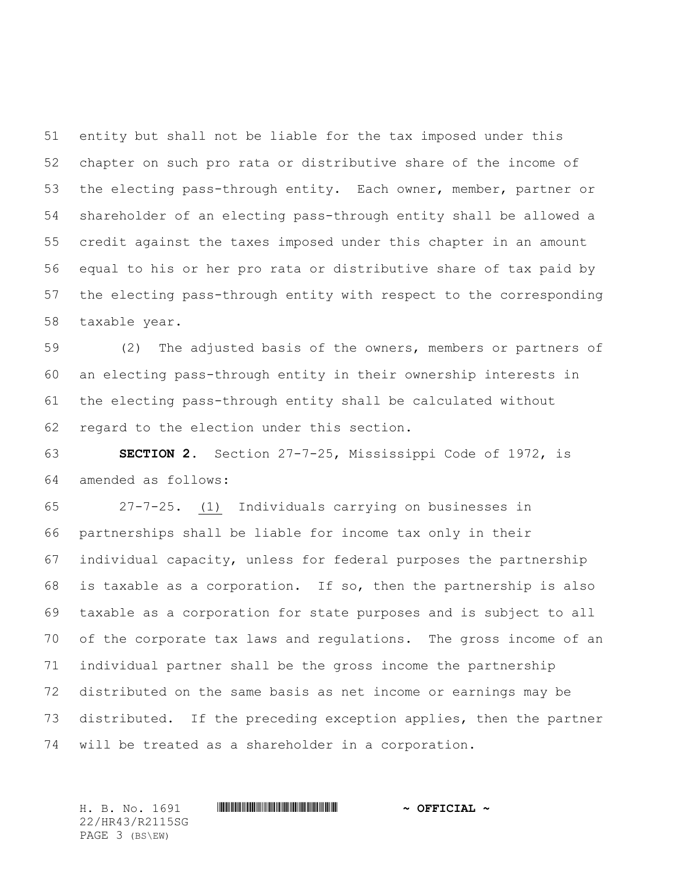entity but shall not be liable for the tax imposed under this chapter on such pro rata or distributive share of the income of the electing pass-through entity. Each owner, member, partner or shareholder of an electing pass-through entity shall be allowed a credit against the taxes imposed under this chapter in an amount equal to his or her pro rata or distributive share of tax paid by the electing pass-through entity with respect to the corresponding taxable year.

 (2) The adjusted basis of the owners, members or partners of an electing pass-through entity in their ownership interests in the electing pass-through entity shall be calculated without regard to the election under this section.

 **SECTION 2.** Section 27-7-25, Mississippi Code of 1972, is amended as follows:

 27-7-25. (1) Individuals carrying on businesses in partnerships shall be liable for income tax only in their individual capacity, unless for federal purposes the partnership is taxable as a corporation. If so, then the partnership is also taxable as a corporation for state purposes and is subject to all of the corporate tax laws and regulations. The gross income of an individual partner shall be the gross income the partnership distributed on the same basis as net income or earnings may be distributed. If the preceding exception applies, then the partner will be treated as a shareholder in a corporation.

H. B. No. 1691 \*HR43/R2115SG\* **~ OFFICIAL ~** 22/HR43/R2115SG PAGE 3 (BS\EW)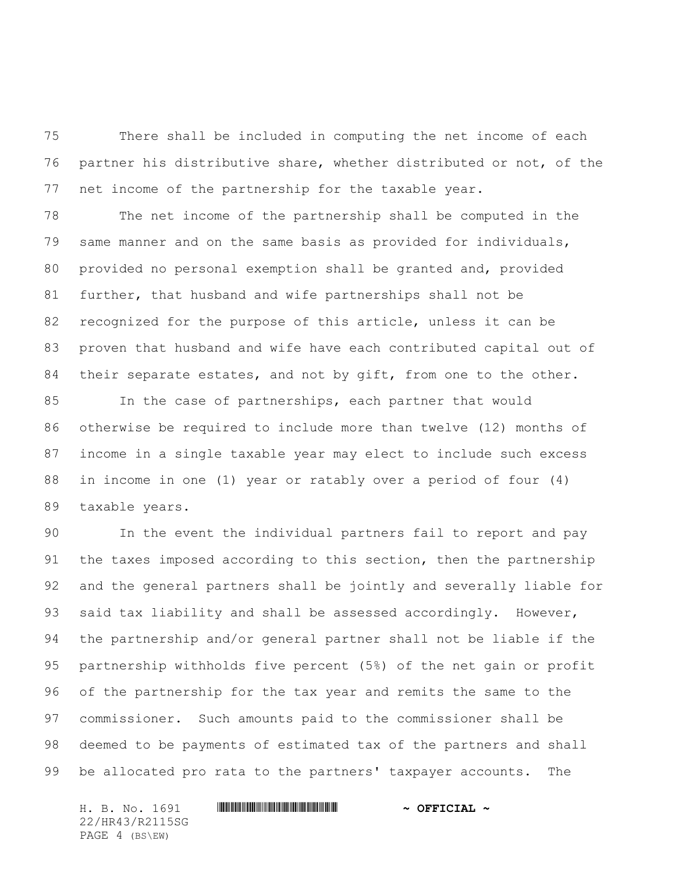There shall be included in computing the net income of each partner his distributive share, whether distributed or not, of the net income of the partnership for the taxable year.

 The net income of the partnership shall be computed in the same manner and on the same basis as provided for individuals, provided no personal exemption shall be granted and, provided further, that husband and wife partnerships shall not be recognized for the purpose of this article, unless it can be proven that husband and wife have each contributed capital out of 84 their separate estates, and not by gift, from one to the other.

 In the case of partnerships, each partner that would otherwise be required to include more than twelve (12) months of income in a single taxable year may elect to include such excess in income in one (1) year or ratably over a period of four (4) taxable years.

 In the event the individual partners fail to report and pay 91 the taxes imposed according to this section, then the partnership and the general partners shall be jointly and severally liable for 93 said tax liability and shall be assessed accordingly. However, the partnership and/or general partner shall not be liable if the partnership withholds five percent (5%) of the net gain or profit of the partnership for the tax year and remits the same to the commissioner. Such amounts paid to the commissioner shall be deemed to be payments of estimated tax of the partners and shall be allocated pro rata to the partners' taxpayer accounts. The

H. B. No. 1691 \*HR43/R2115SG\* **~ OFFICIAL ~** 22/HR43/R2115SG PAGE 4 (BS\EW)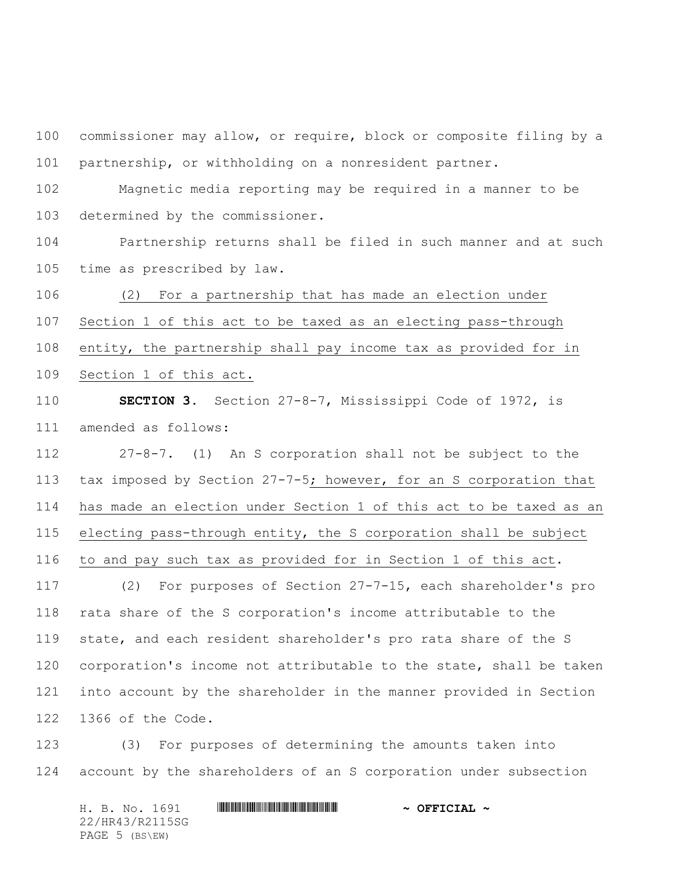commissioner may allow, or require, block or composite filing by a partnership, or withholding on a nonresident partner.

 Magnetic media reporting may be required in a manner to be determined by the commissioner.

 Partnership returns shall be filed in such manner and at such time as prescribed by law.

 (2) For a partnership that has made an election under Section 1 of this act to be taxed as an electing pass-through entity, the partnership shall pay income tax as provided for in Section 1 of this act.

 **SECTION 3.** Section 27-8-7, Mississippi Code of 1972, is amended as follows:

 27-8-7. (1) An S corporation shall not be subject to the tax imposed by Section 27-7-5; however, for an S corporation that has made an election under Section 1 of this act to be taxed as an electing pass-through entity, the S corporation shall be subject to and pay such tax as provided for in Section 1 of this act. (2) For purposes of Section 27-7-15, each shareholder's pro rata share of the S corporation's income attributable to the

 state, and each resident shareholder's pro rata share of the S corporation's income not attributable to the state, shall be taken into account by the shareholder in the manner provided in Section 1366 of the Code.

 (3) For purposes of determining the amounts taken into account by the shareholders of an S corporation under subsection

H. B. No. 1691 \*HR43/R2115SG\* **~ OFFICIAL ~** 22/HR43/R2115SG PAGE 5 (BS\EW)